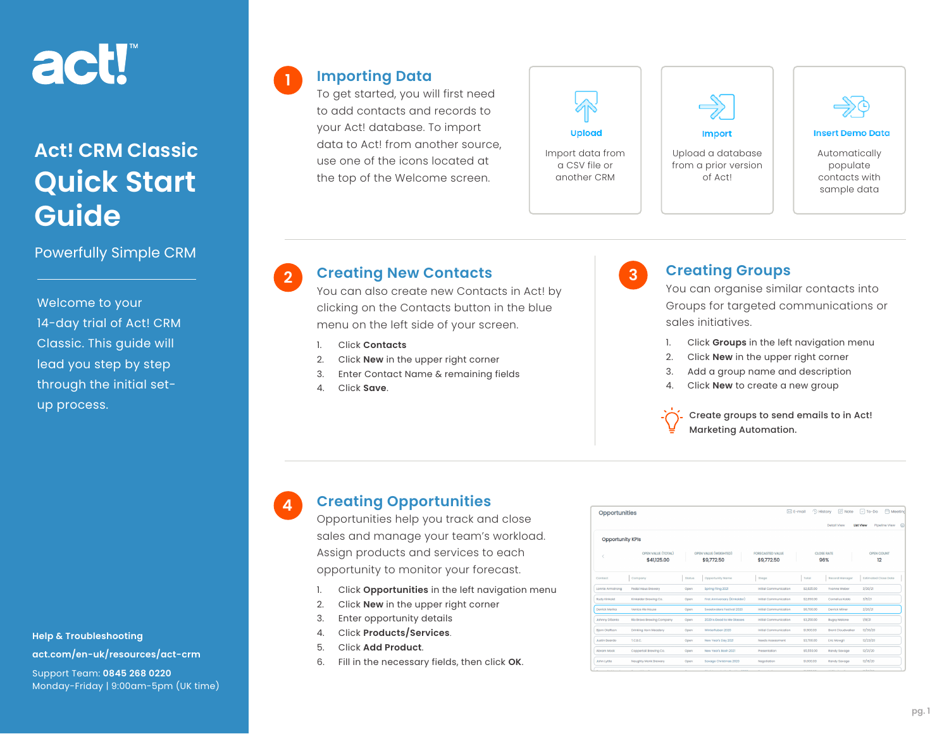# act!

## **Act! CRM Classic Quick Start Guide**

Powerfully Simple CRM

Welcome to your 14-day trial of Act! CRM Classic. This guide will lead you step by step through the initial setup process.

**Help & Troubleshooting [act.com/en-uk/resources/act-crm](https://act.com/en-uk/resources/act-crm)** Support Team: **0845 268 0220** Monday-Friday | 9:00am-5pm (UK time)

#### **Importing Data**

**1**

**4**

To get started, you will first need to add contacts and records to your Act! database. To import data to Act! from another source, use one of the icons located at the top of the Welcome screen.





Upload a database from a prior version of Act!



#### **Insert Demo Data**

Automatically populate contacts with sample data

## **Creating New Contacts 2 3**

You can also create new Contacts in Act! by clicking on the Contacts button in the blue menu on the left side of your screen.

- 1. Click **Contacts**
- 2. Click **New** in the upper right corner
- 3. Enter Contact Name & remaining fields
- 4. Click **Save**.



#### **Creating Groups**

You can organise similar contacts into Groups for targeted communications or sales initiatives.

- 1. Click **Groups** in the left navigation menu
- 2. Click **New** in the upper right corner
- 3. Add a group name and description
- 4. Click **New** to create a new group

Create groups to send emails to in Act! Marketing Automation.

### **Creating Opportunities**

Opportunities help you track and close sales and manage your team's workload. Assign products and services to each opportunity to monitor your forecast.

- 1. Click **Opportunities** in the left navigation menu
- 2. Click **New** in the upper right corner
- 3. Enter opportunity details
- 4. Click **Products/Services**.
- 5. Click **Add Product**.
- 6. Fill in the necessary fields, then click **OK**.

| Opportunities                                                                              |                                   |        |                                     | <sup>(L)</sup> History<br>$\mathbb{Z}$ Note<br><b>Meeting</b><br>$\boxtimes$ E-mail<br>$\boxed{\smile}$ To-Do |                   |                          |                      |
|--------------------------------------------------------------------------------------------|-----------------------------------|--------|-------------------------------------|---------------------------------------------------------------------------------------------------------------|-------------------|--------------------------|----------------------|
| $\triangle$<br>Detail View<br><b>List View</b><br>Pipeline View<br><b>Opportunity KPIs</b> |                                   |        |                                     |                                                                                                               |                   |                          |                      |
|                                                                                            | OPEN VALUE (TOTAL)<br>\$41,125.00 |        | OPEN VALUE (WEIGHTED)<br>\$9,772.50 | <b>FORECASTED VALUE</b><br>\$9,772.50                                                                         | <b>CLOSE RATE</b> | 96%                      | OPEN COUNT<br>12     |
| Contact                                                                                    | Company                           | Status | Opportunity Name                    | Stage                                                                                                         | Total             | Record Manager           | Estimated Close Date |
| Lonnie Armstrong                                                                           | Pedal Haus Brewery                | Open   | Spring Fling 2021                   | <b>Initial Communication</b>                                                                                  | \$2,825.00        | Yvonne Weber             | 3/30/21              |
| <b>Rudy Kinkaid</b>                                                                        | Kinkaider Brewing Co.             | Open   | First Anniversary (Kinkaider)       | <b>Initial Communication</b>                                                                                  | \$2,650.00        | Cornelius Kobb           | 3/5/21               |
| Derrick Merika                                                                             | Venice Ale House                  | Open   | Sweetwaters Festival 2020           | Initial Communication                                                                                         | \$6,700.00        | Derrick Milner           | 2/26/21              |
| <b>Johnny DiSanto</b>                                                                      | Rio Bravo Brewing Company         | Open   | 2020 Is Dead to Me Glasses          | Initial Communication                                                                                         | \$3,250.00        | <b>Buasy Malone</b>      | 1/8/21               |
| <b>Biorn Olaffson</b>                                                                      | <b>Drinking Horn Meadery</b>      | Open   | Winterfluben 2020                   | Initial Communication                                                                                         | \$1900.00         | <b>Brent Cloudwalker</b> | 12/30/20             |
| Justin Beardo                                                                              | T.C.B.C.                          | Open   | New Year's Day 2021                 | Needs Assessment                                                                                              | \$3,700.00        | Eric Mowali              | 12/23/20             |
| Abram Mock                                                                                 | Coppertail Brewing Co.            | Open   | New Year's Bash 2021                | Presentation                                                                                                  | \$5,550,00        | Randy Savage             | 12/21/20             |
| <b>John Lyttle</b>                                                                         | Naughty Monk Brewery              | Open   | Savage Christmas 2020               | Negotiation                                                                                                   | \$1,000.00        | Randy Savage             | 12/18/20             |
|                                                                                            |                                   |        |                                     |                                                                                                               |                   |                          | and and a state      |